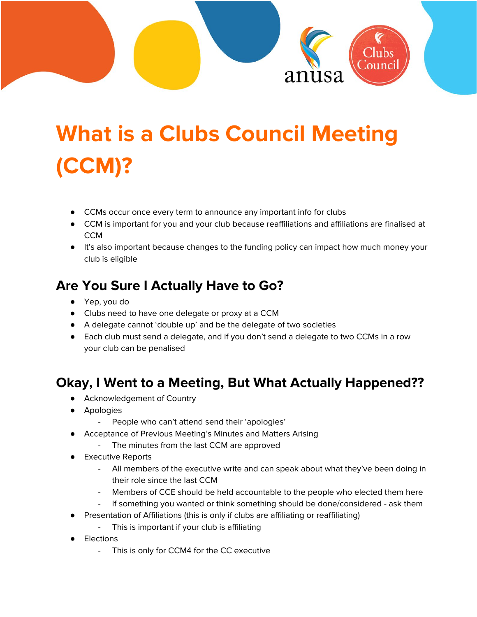

# **What is a Clubs Council Meeting (CCM)?**

- CCMs occur once every term to announce any important info for clubs
- CCM is important for you and your club because reaffiliations and affiliations are finalised at **CCM**
- It's also important because changes to the funding policy can impact how much money your club is eligible

## **Are You Sure I Actually Have to Go?**

- Yep, you do
- Clubs need to have one delegate or proxy at a CCM
- A delegate cannot 'double up' and be the delegate of two societies
- Each club must send a delegate, and if you don't send a delegate to two CCMs in a row your club can be penalised

## **Okay, I Went to a Meeting, But What Actually Happened??**

- Acknowledgement of Country
- Apologies
	- People who can't attend send their 'apologies'
- Acceptance of Previous Meeting's Minutes and Matters Arising
	- The minutes from the last CCM are approved
- **Executive Reports** 
	- All members of the executive write and can speak about what they've been doing in their role since the last CCM
	- Members of CCE should be held accountable to the people who elected them here
	- If something you wanted or think something should be done/considered ask them
- Presentation of Affiliations (this is only if clubs are affiliating or reaffiliating)
	- This is important if your club is affiliating
- **Elections** 
	- This is only for CCM4 for the CC executive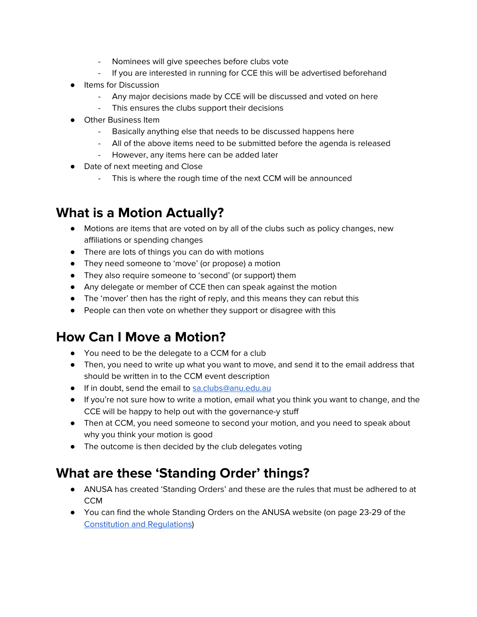- Nominees will give speeches before clubs vote
- If you are interested in running for CCE this will be advertised beforehand
- Items for Discussion
	- Any major decisions made by CCE will be discussed and voted on here
	- This ensures the clubs support their decisions
- **Other Business Item** 
	- Basically anything else that needs to be discussed happens here
	- All of the above items need to be submitted before the agenda is released
	- However, any items here can be added later
- Date of next meeting and Close
	- This is where the rough time of the next CCM will be announced

#### **What is a Motion Actually?**

- Motions are items that are voted on by all of the clubs such as policy changes, new affiliations or spending changes
- There are lots of things you can do with motions
- They need someone to 'move' (or propose) a motion
- They also require someone to 'second' (or support) them
- Any delegate or member of CCE then can speak against the motion
- The 'mover' then has the right of reply, and this means they can rebut this
- People can then vote on whether they support or disagree with this

## **How Can I Move a Motion?**

- You need to be the delegate to a CCM for a club
- Then, you need to write up what you want to move, and send it to the email address that should be written in to the CCM event description
- If in doubt, send the email to [sa.clubs@anu.edu.au](mailto:sa.clubs@anu.edu.au)
- If you're not sure how to write a motion, email what you think you want to change, and the CCE will be happy to help out with the governance-y stuff
- Then at CCM, you need someone to second your motion, and you need to speak about why you think your motion is good
- The outcome is then decided by the club delegates voting

# **What are these 'Standing Order' things?**

- ANUSA has created 'Standing Orders' and these are the rules that must be adhered to at CCM
- You can find the whole Standing Orders on the ANUSA website (on page 23-29 of the [Constitution](https://anusa.com.au/about/anusa/constitution/) and Regulations)